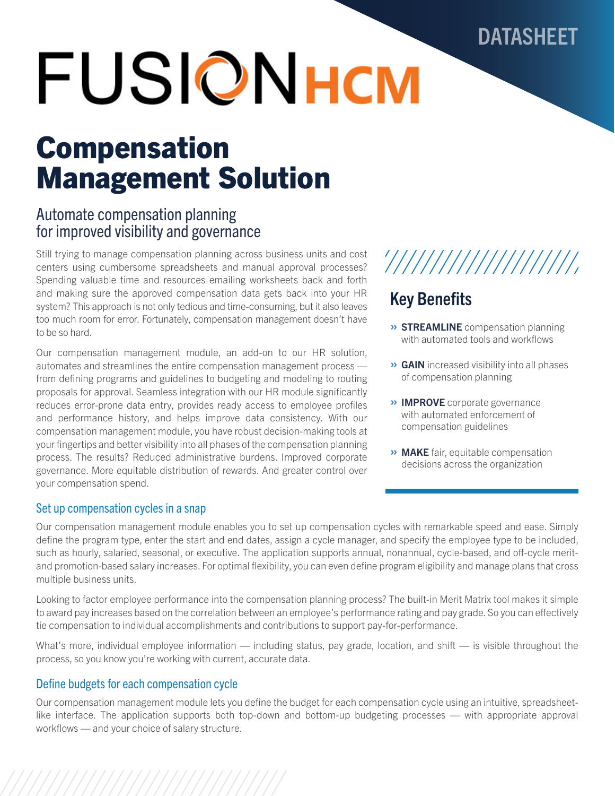## DATASHEET

# **FUSIONHOM**

## Compensation Management Solution

## Automate compensation planning for improved visibility and governance

Still trying to manage compensation planning across business units and cost centers using cumbersome spreadsheets and manual approval processes? Spending valuable time and resources emailing worksheets back and forth and making sure the approved compensation data gets back into your HR system? This approach is not only tedious and time-consuming, but it also leaves too much room for error. Fortunately, compensation management doesn't have to be so hard.

Our compensation management module, an add-on to our HR solution, automates and streamlines the entire compensation management process from defining programs and guidelines to budgeting and modeling to routing proposals for approval. Seamless integration with our HR module significantly reduces error-prone data entry, provides ready access to employee profiles and performance history, and helps improve data consistency. With our compensation management module, you have robust decision-making tools at your fingertips and better visibility into all phases of the compensation planning process. The results? Reduced administrative burdens. Improved corporate governance. More equitable distribution of rewards. And greater control over your compensation spend.

### Set up compensation cycles in a snap



## Key Benefits

- » STREAMLINE compensation planning with automated tools and workflows
- » GAIN increased visibility into all phases of compensation planning
- » IMPROVE corporate governance with automated enforcement of compensation guidelines
- **» MAKE** fair, equitable compensation decisions across the organization

Our compensation management module enables you to set up compensation cycles with remarkable speed and ease. Simply define the program type, enter the start and end dates, assign a cycle manager, and specify the employee type to be included, such as hourly, salaried, seasonal, or executive. The application supports annual, nonannual, cycle-based, and off-cycle meritand promotion-based salary increases. For optimal flexibility, you can even define program eligibility and manage plans that cross multiple business units.

Looking to factor employee performance into the compensation planning process? The built-in Merit Matrix tool makes it simple to award pay increases based on the correlation between an employee's performance rating and pay grade. So you can effectively tie compensation to individual accomplishments and contributions to support pay-for-performance.

What's more, individual employee information — including status, pay grade, location, and shift — is visible throughout the process, so you know you're working with current, accurate data.

## Define budgets for each compensation cycle

Our compensation management module lets you define the budget for each compensation cycle using an intuitive, spreadsheetlike interface. The application supports both top-down and bottom-up budgeting processes — with appropriate approval workflows — and your choice of salary structure.